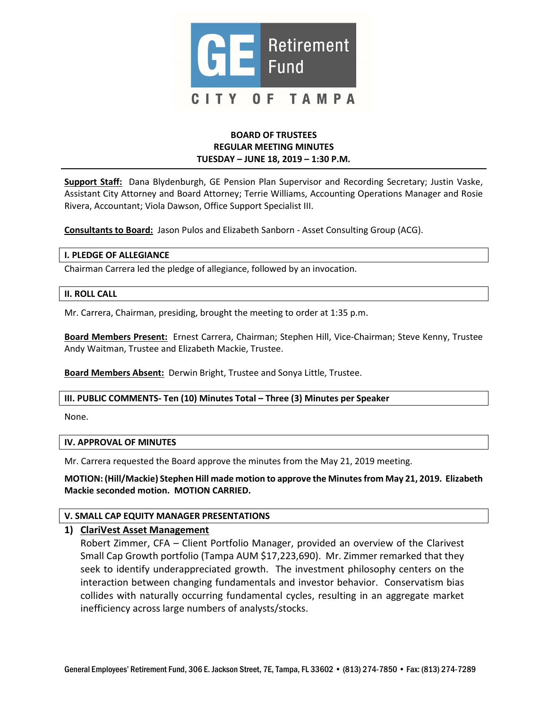

## BOARD OF TRUSTEES REGULAR MEETING MINUTES TUESDAY – JUNE 18, 2019 – 1:30 P.M.

Support Staff: Dana Blydenburgh, GE Pension Plan Supervisor and Recording Secretary; Justin Vaske, Assistant City Attorney and Board Attorney; Terrie Williams, Accounting Operations Manager and Rosie Rivera, Accountant; Viola Dawson, Office Support Specialist III.

Consultants to Board: Jason Pulos and Elizabeth Sanborn - Asset Consulting Group (ACG).

#### I. PLEDGE OF ALLEGIANCE

Chairman Carrera led the pledge of allegiance, followed by an invocation.

#### II. ROLL CALL

Mr. Carrera, Chairman, presiding, brought the meeting to order at 1:35 p.m.

Board Members Present: Ernest Carrera, Chairman; Stephen Hill, Vice-Chairman; Steve Kenny, Trustee Andy Waitman, Trustee and Elizabeth Mackie, Trustee.

Board Members Absent: Derwin Bright, Trustee and Sonya Little, Trustee.

### III. PUBLIC COMMENTS- Ten (10) Minutes Total – Three (3) Minutes per Speaker

None.

#### IV. APPROVAL OF MINUTES

Mr. Carrera requested the Board approve the minutes from the May 21, 2019 meeting.

 MOTION: (Hill/Mackie) Stephen Hill made motion to approve the Minutesfrom May 21, 2019. Elizabeth Mackie seconded motion. MOTION CARRIED.

### V. SMALL CAP EQUITY MANAGER PRESENTATIONS

### 1) ClariVest Asset Management

 Robert Zimmer, CFA – Client Portfolio Manager, provided an overview of the Clarivest Small Cap Growth portfolio (Tampa AUM \$17,223,690). Mr. Zimmer remarked that they seek to identify underappreciated growth. The investment philosophy centers on the interaction between changing fundamentals and investor behavior. Conservatism bias collides with naturally occurring fundamental cycles, resulting in an aggregate market inefficiency across large numbers of analysts/stocks.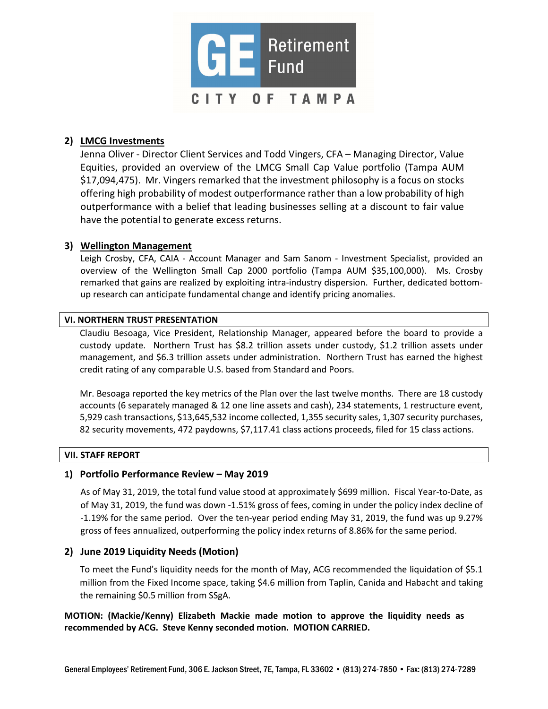

# 2) LMCG Investments

 Jenna Oliver - Director Client Services and Todd Vingers, CFA – Managing Director, Value Equities, provided an overview of the LMCG Small Cap Value portfolio (Tampa AUM \$17,094,475). Mr. Vingers remarked that the investment philosophy is a focus on stocks offering high probability of modest outperformance rather than a low probability of high outperformance with a belief that leading businesses selling at a discount to fair value have the potential to generate excess returns.

# 3) Wellington Management

 Leigh Crosby, CFA, CAIA - Account Manager and Sam Sanom - Investment Specialist, provided an overview of the Wellington Small Cap 2000 portfolio (Tampa AUM \$35,100,000). Ms. Crosby remarked that gains are realized by exploiting intra-industry dispersion. Further, dedicated bottom-up research can anticipate fundamental change and identify pricing anomalies.

### VI. NORTHERN TRUST PRESENTATION

 Claudiu Besoaga, Vice President, Relationship Manager, appeared before the board to provide a custody update. Northern Trust has \$8.2 trillion assets under custody, \$1.2 trillion assets under management, and \$6.3 trillion assets under administration. Northern Trust has earned the highest credit rating of any comparable U.S. based from Standard and Poors.

 Mr. Besoaga reported the key metrics of the Plan over the last twelve months. There are 18 custody accounts (6 separately managed & 12 one line assets and cash), 234 statements, 1 restructure event, 5,929 cash transactions, \$13,645,532 income collected, 1,355 security sales, 1,307 security purchases, 82 security movements, 472 paydowns, \$7,117.41 class actions proceeds, filed for 15 class actions.

### VII. STAFF REPORT

### 1) Portfolio Performance Review – May 2019

 As of May 31, 2019, the total fund value stood at approximately \$699 million. Fiscal Year-to-Date, as of May 31, 2019, the fund was down -1.51% gross of fees, coming in under the policy index decline of -1.19% for the same period. Over the ten-year period ending May 31, 2019, the fund was up 9.27% gross of fees annualized, outperforming the policy index returns of 8.86% for the same period.

# 2) June 2019 Liquidity Needs (Motion)

 To meet the Fund's liquidity needs for the month of May, ACG recommended the liquidation of \$5.1 million from the Fixed Income space, taking \$4.6 million from Taplin, Canida and Habacht and taking the remaining \$0.5 million from SSgA.

# MOTION: (Mackie/Kenny) Elizabeth Mackie made motion to approve the liquidity needs as recommended by ACG. Steve Kenny seconded motion. MOTION CARRIED.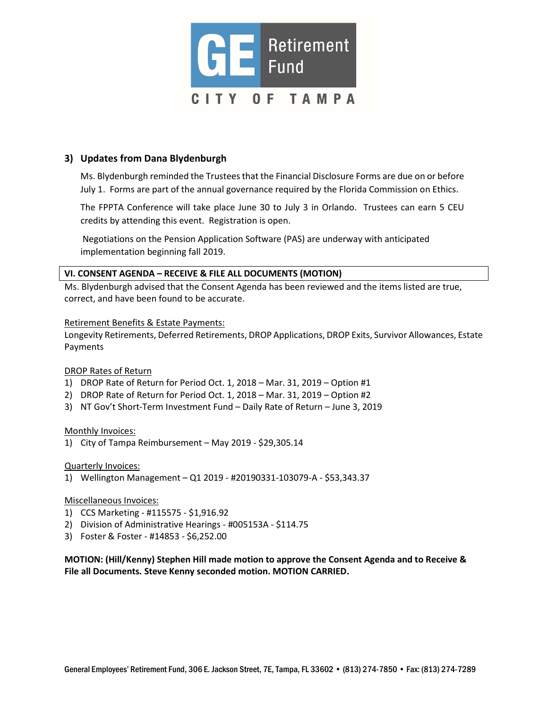

# 3) Updates from Dana Blydenburgh

Ms. Blydenburgh reminded the Trustees that the Financial Disclosure Forms are due on or before July 1. Forms are part of the annual governance required by the Florida Commission on Ethics.

 The FPPTA Conference will take place June 30 to July 3 in Orlando. Trustees can earn 5 CEU credits by attending this event. Registration is open.

 Negotiations on the Pension Application Software (PAS) are underway with anticipated implementation beginning fall 2019.

### VI. CONSENT AGENDA – RECEIVE & FILE ALL DOCUMENTS (MOTION)

 Ms. Blydenburgh advised that the Consent Agenda has been reviewed and the items listed are true, correct, and have been found to be accurate.

### Retirement Benefits & Estate Payments:

 Longevity Retirements, Deferred Retirements, DROP Applications, DROP Exits, Survivor Allowances, Estate Payments

### DROP Rates of Return

- 1) DROP Rate of Return for Period Oct. 1, 2018 Mar. 31, 2019 Option #1
- 2) DROP Rate of Return for Period Oct. 1, 2018 Mar. 31, 2019 Option #2
- 3) NT Gov't Short-Term Investment Fund Daily Rate of Return June 3, 2019

### Monthly Invoices:

1) City of Tampa Reimbursement – May 2019 - \$29,305.14

### Quarterly Invoices:

1) Wellington Management – Q1 2019 - #20190331-103079-A - \$53,343.37

### Miscellaneous Invoices:

- 1) CCS Marketing #115575 \$1,916.92
- 2) Division of Administrative Hearings #005153A \$114.75
- 3) Foster & Foster #14853 \$6,252.00

 MOTION: (Hill/Kenny) Stephen Hill made motion to approve the Consent Agenda and to Receive & File all Documents. Steve Kenny seconded motion. MOTION CARRIED.